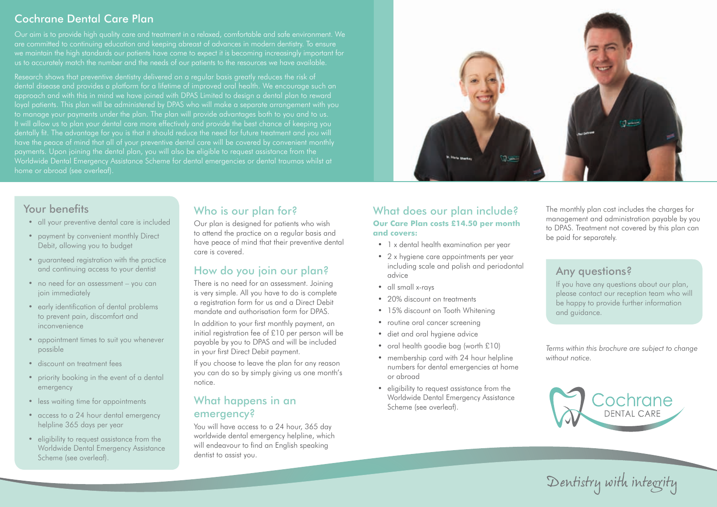# Cochrane Dental Care Plan

Our aim is to provide high quality care and treatment in a relaxed, comfortable and safe environment. We are committed to continuing education and keeping abreast of advances in modern dentistry. To ensure we maintain the high standards our patients have come to expect it is becoming increasingly important for us to accurately match the number and the needs of our patients to the resources we have available.

Research shows that preventive dentistry delivered on a regular basis greatly reduces the risk of dental disease and provides a platform for a lifetime of improved oral health. We encourage such an approach and with this in mind we have joined with DPAS Limited to design a dental plan to reward loyal patients. This plan will be administered by DPAS who will make a separate arrangement with you to manage your payments under the plan. The plan will provide advantages both to you and to us. It will allow us to plan your dental care more effectively and provide the best chance of keeping you dentally fit. The advantage for you is that it should reduce the need for future treatment and you will have the peace of mind that all of your preventive dental care will be covered by convenient monthly home or abroad (see overleaf).



# Your benefits

- all your preventive dental care is included
- payment by convenient monthly Direct Debit, allowing you to budget
- guaranteed registration with the practice and continuing access to your dentist
- no need for an assessment you can join immediately
- early identification of dental problems to prevent pain, discomfort and inconvenience
- appointment times to suit you whenever possible
- discount on treatment fees
- priority booking in the event of a dental emergency
- less waiting time for appointments
- access to a 24 hour dental emergency helpline 365 days per year
- eligibility to request assistance from the Worldwide Dental Emergency Assistance Scheme (see overleaf).

# Who is our plan for?

Our plan is designed for patients who wish to attend the practice on a regular basis and have peace of mind that their preventive dental care is covered.

# How do you join our plan?

There is no need for an assessment. Joining is very simple. All you have to do is complete a registration form for us and a Direct Debit mandate and authorisation form for DPAS.

In addition to your first monthly payment, an initial registration fee of £10 per person will be payable by you to DPAS and will be included in your first Direct Debit payment.

If you choose to leave the plan for any reason you can do so by simply giving us one month's notice.

# What happens in an emergency?

You will have access to a 24 hour, 365 day worldwide dental emergency helpline, which will endeavour to find an English speaking dentist to assist you.

### What does our plan include? **Our Care Plan costs £14.50 per month and covers:**

- 1 x dental health examination per year
- 2 x hygiene care appointments per year including scale and polish and periodontal advice
- all small x-rays
- 20% discount on treatments
- 15% discount on Tooth Whitening
- routine oral cancer screening
- diet and oral hygiene advice
- oral health goodie bag (worth £10)
- membership card with 24 hour helpline numbers for dental emergencies at home or abroad
- eligibility to request assistance from the Worldwide Dental Emergency Assistance Scheme (see overleaf).

The monthly plan cost includes the charges for management and administration payable by you to DPAS. Treatment not covered by this plan can be paid for separately.

# Any questions?

If you have any questions about our plan, please contact our reception team who will be happy to provide further information and guidance.

*Terms within this brochure are subject to change without notice.*



*Dentistry with integrity*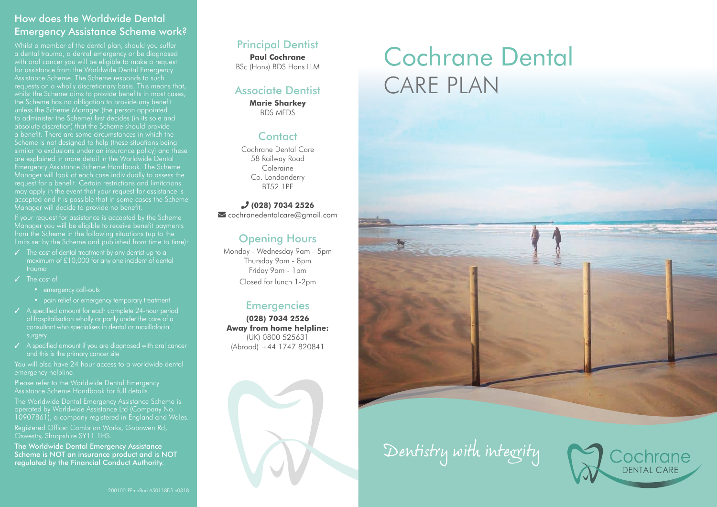# How does the Worldwide Dental Emergency Assistance Scheme work?

Whilst a member of the dental plan, should you suffer a dental trauma, a dental emergency or be diagnosed with oral cancer you will be eligible to make a request for assistance from the Worldwide Dental Emergency Assistance Scheme. The Scheme responds to such requests on a wholly discretionary basis. This means that, whilst the Scheme aims to provide benefits in most cases, the Scheme has no obligation to provide any benefit to administer the Scheme) first decides (in its sole and absolute discretion) that the Scheme should provide a benefit. There are some circumstances in which the Scheme is not designed to help (these situations being similar to exclusions under an insurance policy) and these Emergency Assistance Scheme Handbook. The Scheme Manager will look at each case individually to assess the request for a benefit. Certain restrictions and limitations may apply in the event that your request for assistance is Manager will decide to provide no benefit.

If your request for assistance is accepted by the Scheme from the Scheme in the following situations (up to the limits set by the Scheme and published from time to time):

- ✓ The cost of dental treatment by any dentist up to a maximum of £10,000 for any one incident of dental
- $J$  The cost of  $\cdot$ 
	- emergency call-outs
	- pain relief or emergency temporary treatment
- ✓ A specified amount for each complete 24-hour period of hospitalisation wholly or partly under the care of a consultant who specialises in dental or maxillofacial surgery
- ✓ A specified amount if you are diagnosed with oral cancer and this is the primary cancer site

You will also have 24 hour access to a worldwide dental emergency helpline.

Please refer to the Worldwide Dental Emergency Assistance Scheme Handbook for full details.

The Worldwide Dental Emergency Assistance Scheme is operated by Worldwide Assistance Ltd (Company No. 10907861), a company registered in England and Wales. Registered Office: Cambrian Works, Gobowen Rd, Oswestry, Shropshire SY11 1HS.

The Worldwide Dental Emergency Assistance Scheme is NOT an insurance product and is NOT regulated by the Financial Conduct Authority.

#### Principal Dentist **Paul Cochrane** BSc (Hons) BDS Hons LLM

Associate Dentist

**Marie Sharkey**  BDS MFDS

### **Contact**

Cochrane Dental Care 58 Railway Road Coleraine Co. Londonderry BT52 1PF

#### **(028) 7034 2526** cochranedentalcare@gmail.com

# Opening Hours

Monday - Wednesday 9am - 5pm Thursday 9am - 8pm Friday 9am - 1pm Closed for lunch 1-2pm

### **Emergencies**

**(028) 7034 2526 Away from home helpline:**  (UK) 0800 525631 (Abroad) +44 1747 820841



# Cochrane Dental CARE PLAN



*Dentistry with integrity*

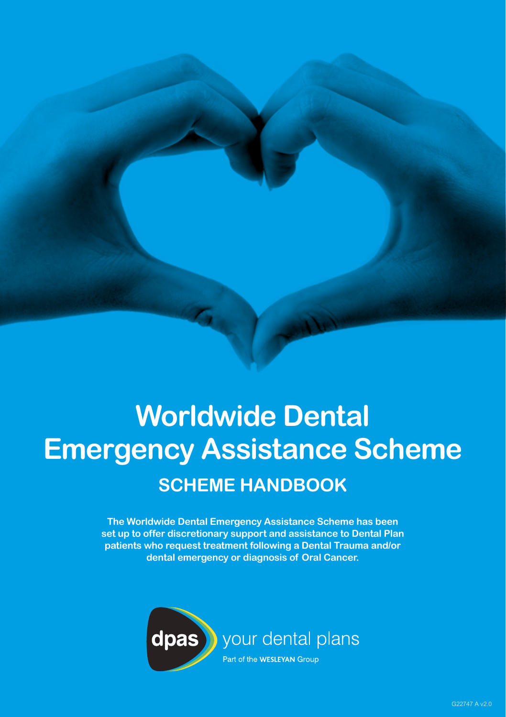# **Worldwide Dental Emergency Assistance Scheme SCHEME HANDBOOK**

**The Worldwide Dental Emergency Assistance Scheme has been set up to offer discretionary support and assistance to Dental Plan patients who request treatment following a Dental Trauma and/or dental emergency or diagnosis of Oral Cancer.**

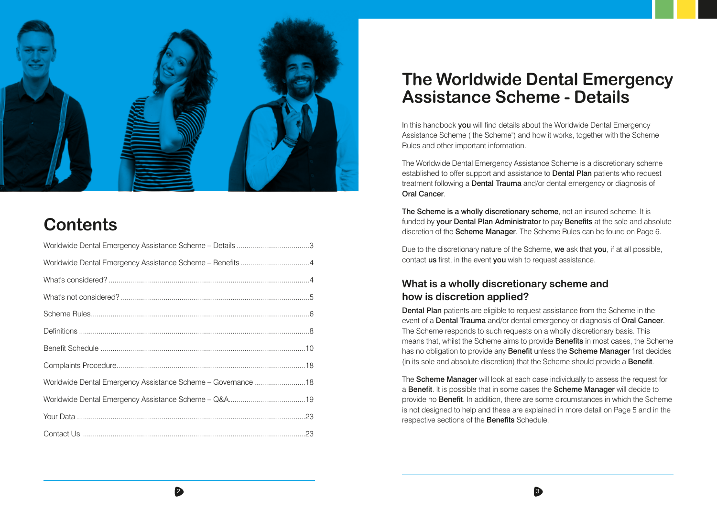

# **Contents**

| Worldwide Dental Emergency Assistance Scheme - Details 3     |  |
|--------------------------------------------------------------|--|
| Worldwide Dental Emergency Assistance Scheme - Benefits 4    |  |
|                                                              |  |
|                                                              |  |
|                                                              |  |
|                                                              |  |
|                                                              |  |
|                                                              |  |
| Worldwide Dental Emergency Assistance Scheme - Governance 18 |  |
|                                                              |  |
|                                                              |  |
|                                                              |  |

# **The Worldwide Dental Emergency Assistance Scheme - Details**

In this handbook you will find details about the Worldwide Dental Emergency Assistance Scheme ("the Scheme") and how it works, together with the Scheme Rules and other important information.

The Worldwide Dental Emergency Assistance Scheme is a discretionary scheme established to offer support and assistance to **Dental Plan** patients who request treatment following a **Dental Trauma** and/or dental emergency or diagnosis of Oral Cancer.

The Scheme is a wholly discretionary scheme, not an insured scheme. It is funded by **your Dental Plan Administrator** to pay **Benefits** at the sole and absolute discretion of the **Scheme Manager**. The Scheme Rules can be found on Page 6.

Due to the discretionary nature of the Scheme, we ask that you, if at all possible, contact us first, in the event you wish to request assistance.

# **What is a wholly discretionary scheme and how is discretion applied?**

 $\frac{2}{3}$ 

Dental Plan patients are eligible to request assistance from the Scheme in the event of a **Dental Trauma** and/or dental emergency or diagnosis of **Oral Cancer**. The Scheme responds to such requests on a wholly discretionary basis. This means that, whilst the Scheme aims to provide Benefits in most cases, the Scheme has no obligation to provide any Benefit unless the Scheme Manager first decides (in its sole and absolute discretion) that the Scheme should provide a **Benefit**.

The Scheme Manager will look at each case individually to assess the request for a Benefit. It is possible that in some cases the Scheme Manager will decide to provide no Benefit. In addition, there are some circumstances in which the Scheme is not designed to help and these are explained in more detail on Page 5 and in the respective sections of the Benefits Schedule.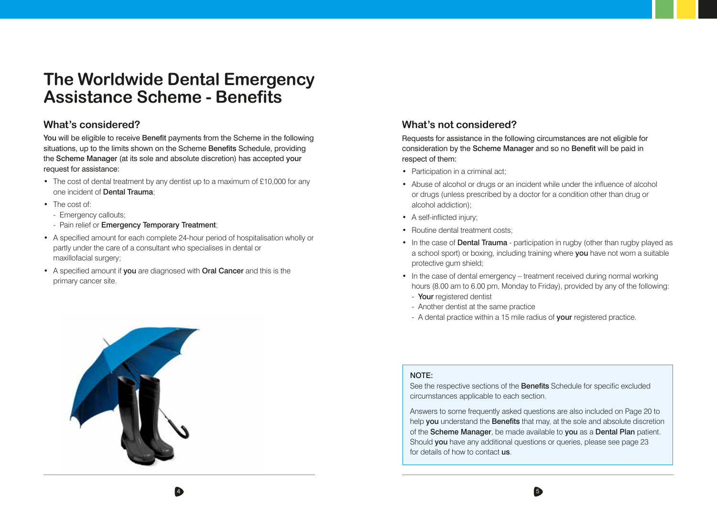# **The Worldwide Dental Emergency Assistance Scheme - Benefits**

### **What's considered?**

You will be eligible to receive Benefit payments from the Scheme in the following situations, up to the limits shown on the Scheme Benefits Schedule, providing the Scheme Manager (at its sole and absolute discretion) has accepted your request for assistance:

- The cost of dental treatment by any dentist up to a maximum of £10,000 for any one incident of Dental Trauma;
- The cost of:
	- Emergency callouts;
- Pain relief or Emergency Temporary Treatment;
- A specified amount for each complete 24-hour period of hospitalisation wholly or partly under the care of a consultant who specialises in dental or maxillofacial surgery;
- A specified amount if you are diagnosed with Oral Cancer and this is the primary cancer site.



### **What's not considered?**

Requests for assistance in the following circumstances are not eligible for consideration by the Scheme Manager and so no Benefit will be paid in respect of them:

- Participation in a criminal act;
- Abuse of alcohol or drugs or an incident while under the influence of alcohol or drugs (unless prescribed by a doctor for a condition other than drug or alcohol addiction);
- A self-inflicted injury;
- Routine dental treatment costs:
- In the case of **Dental Trauma** participation in rugby (other than rugby played as a school sport) or boxing, including training where **you** have not worn a suitable protective gum shield;
- In the case of dental emergency treatment received during normal working hours (8.00 am to 6.00 pm, Monday to Friday), provided by any of the following:
	- Your registered dentist
	- Another dentist at the same practice
	- A dental practice within a 15 mile radius of your registered practice.

#### NOTE:

 $\frac{4}{5}$ 

See the respective sections of the **Benefits** Schedule for specific excluded circumstances applicable to each section.

Answers to some frequently asked questions are also included on Page 20 to help **you** understand the **Benefits** that may, at the sole and absolute discretion of the Scheme Manager, be made available to you as a Dental Plan patient. Should you have any additional questions or queries, please see page 23 for details of how to contact us.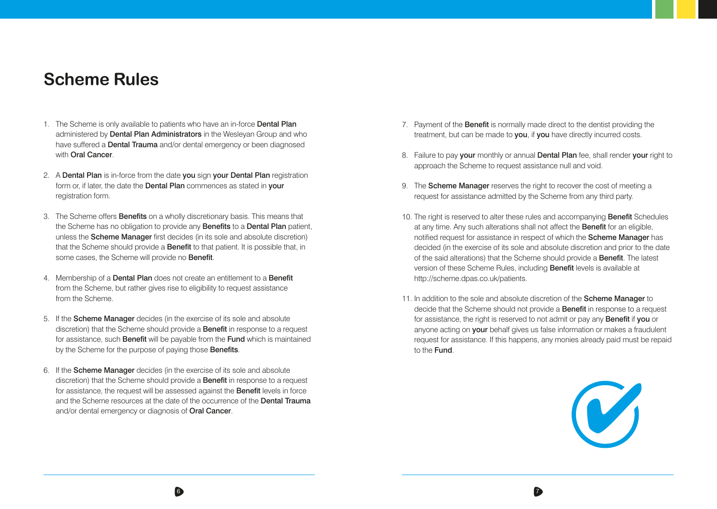# **Scheme Rules**

- 1. The Scheme is only available to patients who have an in-force Dental Plan administered by **Dental Plan Administrators** in the Wesleyan Group and who have suffered a **Dental Trauma** and/or dental emergency or been diagnosed with **Oral Cancer**.
- 2. A Dental Plan is in-force from the date you sign your Dental Plan registration form or, if later, the date the **Dental Plan** commences as stated in your registration form.
- 3. The Scheme offers **Benefits** on a wholly discretionary basis. This means that the Scheme has no obligation to provide any **Benefits** to a **Dental Plan** patient, unless the Scheme Manager first decides (in its sole and absolute discretion) that the Scheme should provide a **Benefit** to that patient. It is possible that, in some cases, the Scheme will provide no **Benefit**.
- 4. Membership of a **Dental Plan** does not create an entitlement to a **Benefit** from the Scheme, but rather gives rise to eligibility to request assistance from the Scheme.
- 5. If the Scheme Manager decides (in the exercise of its sole and absolute discretion) that the Scheme should provide a **Benefit** in response to a request for assistance, such **Benefit** will be payable from the Fund which is maintained by the Scheme for the purpose of paying those **Benefits**.
- 6. If the Scheme Manager decides (in the exercise of its sole and absolute discretion) that the Scheme should provide a **Benefit** in response to a request for assistance, the request will be assessed against the **Benefit** levels in force and the Scheme resources at the date of the occurrence of the **Dental Trauma** and/or dental emergency or diagnosis of Oral Cancer.

 $\sim$  6  $\,$ 

- 7. Payment of the **Benefit** is normally made direct to the dentist providing the treatment, but can be made to you, if you have directly incurred costs.
- 8. Failure to pay your monthly or annual Dental Plan fee, shall render your right to approach the Scheme to request assistance null and void.
- 9. The **Scheme Manager** reserves the right to recover the cost of meeting a request for assistance admitted by the Scheme from any third party.
- 10. The right is reserved to alter these rules and accompanying **Benefit** Schedules at any time. Any such alterations shall not affect the **Benefit** for an eligible, notified request for assistance in respect of which the Scheme Manager has decided (in the exercise of its sole and absolute discretion and prior to the date of the said alterations) that the Scheme should provide a Benefit. The latest version of these Scheme Rules, including Benefit levels is available at http://scheme.dpas.co.uk/patients.
- 11. In addition to the sole and absolute discretion of the Scheme Manager to decide that the Scheme should not provide a Benefit in response to a request for assistance, the right is reserved to not admit or pay any **Benefit** if you or anyone acting on your behalf gives us false information or makes a fraudulent request for assistance. If this happens, any monies already paid must be repaid to the Fund.

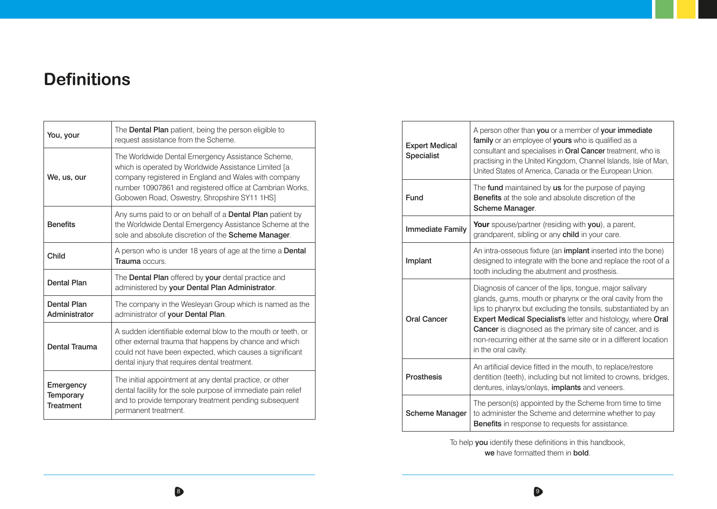# **Definitions**

| You, your                           | The Dental Plan patient, being the person eligible to<br>request assistance from the Scheme.                                                                                                                                                                                  |
|-------------------------------------|-------------------------------------------------------------------------------------------------------------------------------------------------------------------------------------------------------------------------------------------------------------------------------|
| We, us, our                         | The Worldwide Dental Emergency Assistance Scheme,<br>which is operated by Worldwide Assistance Limited [a<br>company registered in England and Wales with company<br>number 10907861 and registered office at Cambrian Works,<br>Gobowen Road, Oswestry, Shropshire SY11 1HS] |
| <b>Benefits</b>                     | Any sums paid to or on behalf of a <b>Dental Plan</b> patient by<br>the Worldwide Dental Emergency Assistance Scheme at the<br>sole and absolute discretion of the Scheme Manager.                                                                                            |
| Child                               | A person who is under 18 years of age at the time a <b>Dental</b><br>Trauma occurs.                                                                                                                                                                                           |
|                                     |                                                                                                                                                                                                                                                                               |
| <b>Dental Plan</b>                  | The <b>Dental Plan</b> offered by your dental practice and<br>administered by your Dental Plan Administrator.                                                                                                                                                                 |
| <b>Dental Plan</b><br>Administrator | The company in the Wesleyan Group which is named as the<br>administrator of your Dental Plan.                                                                                                                                                                                 |
| Dental Trauma                       | A sudden identifiable external blow to the mouth or teeth, or<br>other external trauma that happens by chance and which<br>could not have been expected, which causes a significant<br>dental injury that requires dental treatment.                                          |

| <b>Expert Medical</b><br>Specialist | A person other than you or a member of your immediate<br>family or an employee of yours who is qualified as a<br>consultant and specialises in Oral Cancer treatment, who is<br>practising in the United Kingdom, Channel Islands, Isle of Man,<br>United States of America, Canada or the European Union.                                                                                                             |
|-------------------------------------|------------------------------------------------------------------------------------------------------------------------------------------------------------------------------------------------------------------------------------------------------------------------------------------------------------------------------------------------------------------------------------------------------------------------|
| Fund                                | The fund maintained by us for the purpose of paying<br><b>Benefits</b> at the sole and absolute discretion of the<br>Scheme Manager.                                                                                                                                                                                                                                                                                   |
| <b>Immediate Family</b>             | <b>Your</b> spouse/partner (residing with you), a parent,<br>grandparent, sibling or any child in your care.                                                                                                                                                                                                                                                                                                           |
| Implant                             | An intra-osseous fixture (an <b>implant</b> inserted into the bone)<br>designed to integrate with the bone and replace the root of a<br>tooth including the abutment and prosthesis.                                                                                                                                                                                                                                   |
| <b>Oral Cancer</b>                  | Diagnosis of cancer of the lips, tongue, major salivary<br>glands, gums, mouth or pharynx or the oral cavity from the<br>lips to pharynx but excluding the tonsils, substantiated by an<br>Expert Medical Specialist's letter and histology, where Oral<br><b>Cancer</b> is diagnosed as the primary site of cancer, and is<br>non-recurring either at the same site or in a different location<br>in the oral cavity. |
| <b>Prosthesis</b>                   | An artificial device fitted in the mouth, to replace/restore<br>dentition (teeth), including but not limited to crowns, bridges,<br>dentures, inlays/onlays, <i>implants</i> and veneers.                                                                                                                                                                                                                              |
| <b>Scheme Manager</b>               | The person(s) appointed by the Scheme from time to time<br>to administer the Scheme and determine whether to pay<br><b>Benefits</b> in response to requests for assistance.                                                                                                                                                                                                                                            |

To help you identify these definitions in this handbook, we have formatted them in bold.

 $8<sup>3</sup>$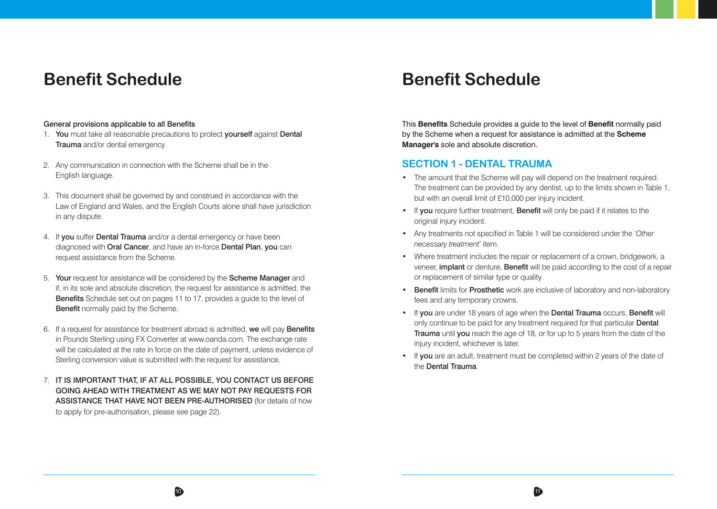# **Benefit Schedule**

#### General provisions applicable to all Benefits

- 1. You must take all reasonable precautions to protect yourself against Dental Trauma and/or dental emergency.
- 2. Any communication in connection with the Scheme shall be in the English language.
- 3. This document shall be governed by and construed in accordance with the Law of England and Wales, and the English Courts alone shall have jurisdiction in any dispute.
- 4. If you suffer Dental Trauma and/or a dental emergency or have been diagnosed with Oral Cancer, and have an in-force Dental Plan, you can request assistance from the Scheme.
- 5. Your request for assistance will be considered by the Scheme Manager and if, in its sole and absolute discretion, the request for assistance is admitted, the Benefits Schedule set out on pages 11 to 17, provides a guide to the level of **Benefit** normally paid by the Scheme.
- 6. If a request for assistance for treatment abroad is admitted, we will pay Benefits in Pounds Sterling using FX Converter at www.oanda.com. The exchange rate will be calculated at the rate in force on the date of payment, unless evidence of Sterling conversion value is submitted with the request for assistance.
- 7. IT IS IMPORTANT THAT, IF AT ALL POSSIBLE, YOU CONTACT US BEFORE GOING AHEAD WITH TREATMENT AS WE MAY NOT PAY REQUESTS FOR ASSISTANCE THAT HAVE NOT BEEN PRE-AUTHORISED (for details of how to apply for pre-authorisation, please see page 22).

# **Benefit Schedule**

This **Benefits** Schedule provides a guide to the level of **Benefit** normally paid by the Scheme when a request for assistance is admitted at the **Scheme Manager's** sole and absolute discretion.

### **SECTION 1 - DENTAL TRAUMA**

 $10$  11

- The amount that the Scheme will pay will depend on the treatment required. The treatment can be provided by any dentist, up to the limits shown in Table 1, but with an overall limit of £10,000 per injury incident.
- If you require further treatment. Benefit will only be paid if it relates to the original injury incident.
- Any treatments not specified in Table 1 will be considered under the '*Other necessary treatment*' item.
- Where treatment includes the repair or replacement of a crown, bridgework, a veneer, implant or denture, Benefit will be paid according to the cost of a repair or replacement of similar type or quality.
- Benefit limits for Prosthetic work are inclusive of laboratory and non-laboratory fees and any temporary crowns.
- If you are under 18 years of age when the Dental Trauma occurs, Benefit will only continue to be paid for any treatment required for that particular **Dental** Trauma until you reach the age of 18, or for up to 5 years from the date of the injury incident, whichever is later.
- If you are an adult, treatment must be completed within 2 years of the date of the Dental Trauma.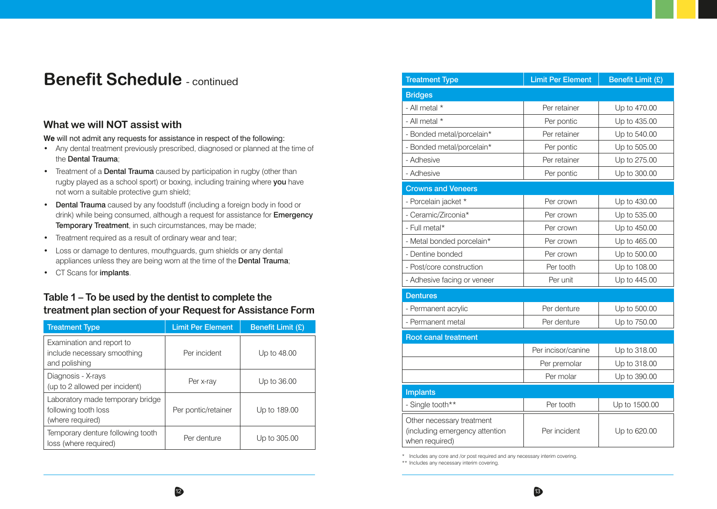# **Benefit Schedule - continued**

### **What we will NOT assist with**

**We** will not admit any requests for assistance in respect of the following:

- Any dental treatment previously prescribed, diagnosed or planned at the time of the Dental Trauma;
- Treatment of a **Dental Trauma** caused by participation in rugby (other than rugby played as a school sport) or boxing, including training where you have not worn a suitable protective gum shield;
- Dental Trauma caused by any foodstuff (including a foreign body in food or drink) while being consumed, although a request for assistance for **Emergency** Temporary Treatment, in such circumstances, may be made;
- Treatment required as a result of ordinary wear and tear;
- Loss or damage to dentures, mouthguards, gum shields or any dental appliances unless they are being worn at the time of the Dental Trauma;
- CT Scans for implants.

# **Table 1 – To be used by the dentist to complete the treatment plan section of your Request for Assistance Form**

| <b>Treatment Type</b>                                                        | <b>Limit Per Element</b> | Benefit Limit (£) |
|------------------------------------------------------------------------------|--------------------------|-------------------|
| Examination and report to<br>include necessary smoothing<br>and polishing    | Per incident             | Up to 48.00       |
| Diagnosis - X-rays<br>(up to 2 allowed per incident)                         | Per x-ray                | Up to 36.00       |
| Laboratory made temporary bridge<br>following tooth loss<br>(where required) | Per pontic/retainer      | Up to 189.00      |
| Temporary denture following tooth<br>loss (where required)                   | Per denture              | Up to 305.00      |

| <b>Treatment Type</b>                                                         | <b>Limit Per Element</b> | <b>Benefit Limit (£)</b> |
|-------------------------------------------------------------------------------|--------------------------|--------------------------|
| <b>Bridges</b>                                                                |                          |                          |
| - All metal *                                                                 | Per retainer             | Up to 470.00             |
| - All metal *                                                                 | Per pontic               | Up to 435.00             |
| - Bonded metal/porcelain*                                                     | Per retainer             | Up to 540.00             |
| - Bonded metal/porcelain*                                                     | Per pontic               | Up to 505.00             |
| - Adhesive                                                                    | Per retainer             | Up to 275.00             |
| - Adhesive                                                                    | Per pontic               | Up to 300.00             |
| <b>Crowns and Veneers</b>                                                     |                          |                          |
| - Porcelain jacket *                                                          | Per crown                | Up to 430.00             |
| - Ceramic/Zirconia*                                                           | Per crown                | Up to 535.00             |
| - Full metal*                                                                 | Per crown                | Up to 450.00             |
| - Metal bonded porcelain*                                                     | Per crown                | Up to 465.00             |
| - Dentine bonded                                                              | Per crown                | Up to 500.00             |
| - Post/core construction                                                      | Per tooth                | Up to 108.00             |
| - Adhesive facing or veneer                                                   | Per unit                 | Up to 445.00             |
| <b>Dentures</b>                                                               |                          |                          |
| - Permanent acrylic                                                           | Per denture              | Up to 500.00             |
| - Permanent metal                                                             | Per denture              | Up to 750.00             |
| <b>Root canal treatment</b>                                                   |                          |                          |
|                                                                               | Per incisor/canine       | Up to 318.00             |
|                                                                               | Per premolar             | Up to 318.00             |
|                                                                               | Per molar                | Up to 390.00             |
| <b>Implants</b>                                                               |                          |                          |
| - Single tooth**                                                              | Per tooth                | Up to 1500.00            |
| Other necessary treatment<br>(including emergency attention<br>when required) | Per incident             | Up to 620.00             |

\* Includes any core and /or post required and any necessary interim covering.

\*\* Includes any necessary interim covering.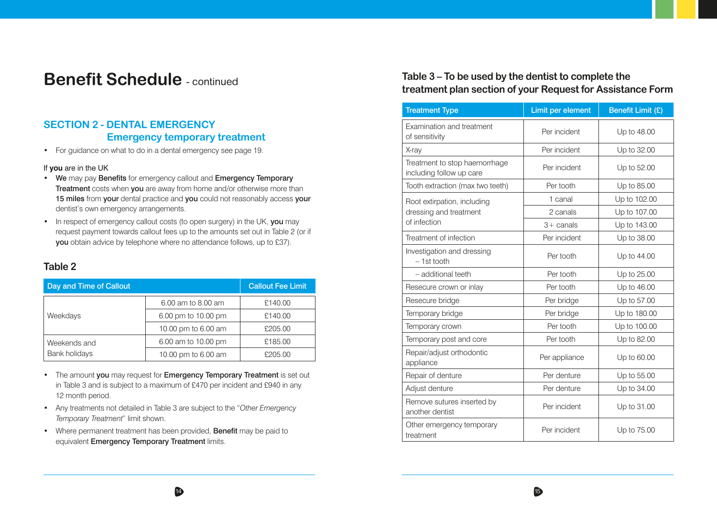# **Benefit Schedule** - continued

# **SECTION 2 - DENTAL EMERGENCY Emergency temporary treatment**

• For guidance on what to do in a dental emergency see page 19.

#### If **you** are in the UK

- We may pay Benefits for emergency callout and Emergency Temporary Treatment costs when you are away from home and/or otherwise more than 15 miles from your dental practice and you could not reasonably access your dentist's own emergency arrangements.
- In respect of emergency callout costs (to open surgery) in the UK, you may request payment towards callout fees up to the amounts set out in Table 2 (or if you obtain advice by telephone where no attendance follows, up to £37).

### **Table 2**

| Day and Time of Callout              |                     | <b>Callout Fee Limit</b> |
|--------------------------------------|---------------------|--------------------------|
| Weekdays                             | 6.00 am to 8.00 am  | £140.00                  |
|                                      | 6.00 pm to 10.00 pm | £140.00                  |
|                                      | 10.00 pm to 6.00 am | £205.00                  |
| Weekends and<br><b>Bank holidays</b> | 6.00 am to 10.00 pm | £185.00                  |
|                                      | 10.00 pm to 6.00 am | £205.00                  |

- The amount you may request for Emergency Temporary Treatment is set out in Table 3 and is subject to a maximum of £470 per incident and £940 in any 12 month period.
- Any treatments not detailed in Table 3 are subject to the "*Other Emergency Temporary Treatment*" limit shown.
- Where permanent treatment has been provided. Benefit may be paid to equivalent **Emergency Temporary Treatment** limits.

### **Table 3 – To be used by the dentist to complete the treatment plan section of your Request for Assistance Form**

| <b>Treatment Type</b>                                     | Limit per element | Benefit Limit (£) |
|-----------------------------------------------------------|-------------------|-------------------|
| Examination and treatment<br>of sensitivity               | Per incident      | Up to 48.00       |
| X-ray                                                     | Per incident      | Up to 32.00       |
| Treatment to stop haemorrhage<br>including follow up care | Per incident      | Up to 52.00       |
| Tooth extraction (max two teeth)                          | Per tooth         | Up to 85.00       |
| Root extirpation, including                               | 1 canal           | Up to 102.00      |
| dressing and treatment                                    | 2 canals          | Up to 107.00      |
| of infection                                              | $3+$ canals       | Up to 143.00      |
| Treatment of infection                                    | Per incident      | Up to 38.00       |
| Investigation and dressing<br>$-1st$ tooth                | Per tooth         | Up to 44.00       |
| - additional teeth                                        | Per tooth         | Up to 25.00       |
| Resecure crown or inlay                                   | Per tooth         | Up to 46.00       |
| Resecure bridge                                           | Per bridge        | Up to 57.00       |
| Temporary bridge                                          | Per bridge        | Up to 180.00      |
| Temporary crown                                           | Per tooth         | Up to 100.00      |
| Temporary post and core                                   | Per tooth         | Up to 82.00       |
| Repair/adjust orthodontic<br>appliance                    | Per appliance     | Up to 60.00       |
| Repair of denture                                         | Per denture       | Up to 55.00       |
| Adjust denture                                            | Per denture       | Up to 34.00       |
| Remove sutures inserted by<br>another dentist             | Per incident      | Up to 31.00       |
| Other emergency temporary<br>treatment                    | Per incident      | Up to 75.00       |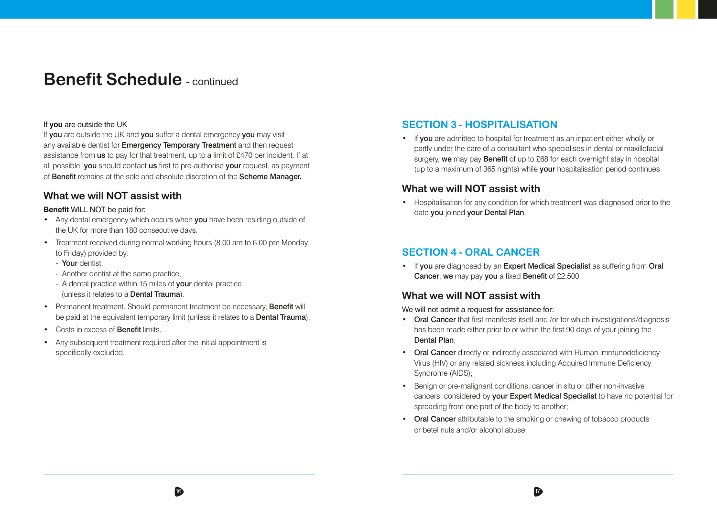# **Benefit Schedule** - continued

#### If **you** are outside the UK

If you are outside the UK and you suffer a dental emergency you may visit any available dentist for **Emergency Temporary Treatment** and then request assistance from us to pay for that treatment, up to a limit of £470 per incident. If at all possible, you should contact us first to pre-authorise your request, as payment of Benefit remains at the sole and absolute discretion of the Scheme Manager.

### **What we will NOT assist with**

#### **Benefit** WILL NOT be paid for:

- Any dental emergency which occurs when you have been residing outside of the UK for more than 180 consecutive days.
- Treatment received during normal working hours (8.00 am to 6.00 pm Monday to Friday) provided by:
	- Your dentist
	- Another dentist at the same practice,
	- A dental practice within 15 miles of **vour** dental practice (unless it relates to a Dental Trauma).
- Permanent treatment. Should permanent treatment be necessary, **Benefit** will be paid at the equivalent temporary limit (unless it relates to a **Dental Trauma**).
- Costs in excess of Benefit limits.
- Any subsequent treatment required after the initial appointment is specifically excluded.

### **SECTION 3 - HOSPITALISATION**

• If you are admitted to hospital for treatment as an inpatient either wholly or partly under the care of a consultant who specialises in dental or maxillofacial surgery, we may pay Benefit of up to £68 for each overnight stay in hospital (up to a maximum of 365 nights) while **your** hospitalisation period continues.

### **What we will NOT assist with**

• Hospitalisation for any condition for which treatment was diagnosed prior to the date you joined your Dental Plan.

### **SECTION 4 - ORAL CANCER**

• If you are diagnosed by an Expert Medical Specialist as suffering from Oral Cancer, we may pay you a fixed Benefit of £2,500.

### **What we will NOT assist with**

 $16$  16  $17$ 

We will not admit a request for assistance for:

- Oral Cancer that first manifests itself and /or for which investigations/diagnosis has been made either prior to or within the first 90 days of your joining the Dental Plan;
- Oral Cancer directly or indirectly associated with Human Immunodeficiency Virus (HIV) or any related sickness including Acquired Immune Deficiency Syndrome (AIDS);
- Benign or pre-malignant conditions, cancer in situ or other non-invasive cancers, considered by your Expert Medical Specialist to have no potential for spreading from one part of the body to another;
- Oral Cancer attributable to the smoking or chewing of tobacco products or betel nuts and/or alcohol abuse.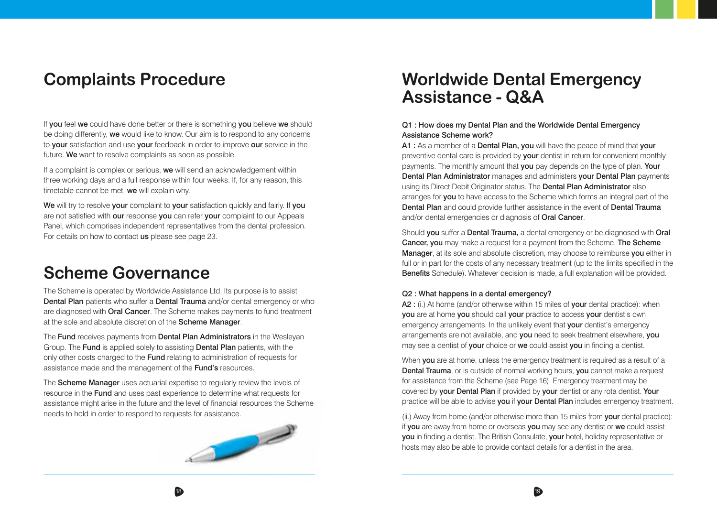# **Complaints Procedure**

If you feel we could have done better or there is something you believe we should be doing differently, we would like to know. Our aim is to respond to any concerns to your satisfaction and use your feedback in order to improve our service in the future. We want to resolve complaints as soon as possible.

If a complaint is complex or serious, we will send an acknowledgement within three working days and a full response within four weeks. If, for any reason, this timetable cannot be met, we will explain why.

We will try to resolve your complaint to your satisfaction quickly and fairly. If you are not satisfied with our response you can refer your complaint to our Appeals Panel, which comprises independent representatives from the dental profession. For details on how to contact us please see page 23.

# **Scheme Governance**

The Scheme is operated by Worldwide Assistance Ltd. Its purpose is to assist Dental Plan patients who suffer a Dental Trauma and/or dental emergency or who are diagnosed with **Oral Cancer**. The Scheme makes payments to fund treatment at the sole and absolute discretion of the Scheme Manager.

The **Fund** receives payments from **Dental Plan Administrators** in the Wesleyan Group. The Fund is applied solely to assisting Dental Plan patients, with the only other costs charged to the Fund relating to administration of requests for assistance made and the management of the Fund's resources.

The Scheme Manager uses actuarial expertise to regularly review the levels of resource in the Fund and uses past experience to determine what requests for assistance might arise in the future and the level of financial resources the Scheme needs to hold in order to respond to requests for assistance.



# **Worldwide Dental Emergency Assistance - Q&A**

#### Q1 : How does my Dental Plan and the Worldwide Dental Emergency Assistance Scheme work?

A1 : As a member of a Dental Plan, you will have the peace of mind that your preventive dental care is provided by your dentist in return for convenient monthly payments. The monthly amount that you pay depends on the type of plan. Your Dental Plan Administrator manages and administers your Dental Plan payments using its Direct Debit Originator status. The **Dental Plan Administrator** also arranges for you to have access to the Scheme which forms an integral part of the Dental Plan and could provide further assistance in the event of Dental Trauma and/or dental emergencies or diagnosis of Oral Cancer.

Should you suffer a Dental Trauma, a dental emergency or be diagnosed with Oral Cancer, you may make a request for a payment from the Scheme. The Scheme Manager, at its sole and absolute discretion, may choose to reimburse you either in full or in part for the costs of any necessary treatment (up to the limits specified in the Benefits Schedule). Whatever decision is made, a full explanation will be provided.

#### Q2 : What happens in a dental emergency?

A2 : (i.) At home (and/or otherwise within 15 miles of your dental practice): when you are at home you should call your practice to access your dentist's own emergency arrangements. In the unlikely event that **your** dentist's emergency arrangements are not available, and you need to seek treatment elsewhere, you may see a dentist of **your** choice or **we** could assist you in finding a dentist.

When you are at home, unless the emergency treatment is required as a result of a Dental Trauma, or is outside of normal working hours, you cannot make a request for assistance from the Scheme (see Page 16). Emergency treatment may be covered by your Dental Plan if provided by your dentist or any rota dentist. Your practice will be able to advise you if your Dental Plan includes emergency treatment.

 $(i)$ .) Away from home (and/or otherwise more than 15 miles from **your** dental practice): if you are away from home or overseas you may see any dentist or we could assist you in finding a dentist. The British Consulate, your hotel, holiday representative or hosts may also be able to provide contact details for a dentist in the area.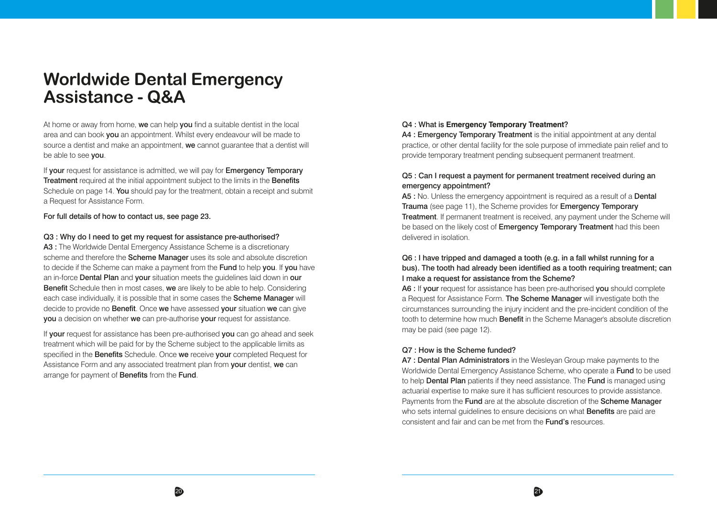# **Worldwide Dental Emergency Assistance - Q&A**

At home or away from home, we can help you find a suitable dentist in the local area and can book you an appointment. Whilst every endeavour will be made to source a dentist and make an appointment, we cannot guarantee that a dentist will be able to see you.

If vour request for assistance is admitted, we will pay for **Emergency Temporary Treatment** required at the initial appointment subject to the limits in the **Benefits** Schedule on page 14. You should pay for the treatment, obtain a receipt and submit a Request for Assistance Form.

#### For full details of how to contact us, see page 23.

#### Q3 : Why do I need to get my request for assistance pre-authorised?

A3 : The Worldwide Dental Emergency Assistance Scheme is a discretionary scheme and therefore the **Scheme Manager** uses its sole and absolute discretion to decide if the Scheme can make a payment from the Fund to help you. If you have an in-force Dental Plan and your situation meets the quidelines laid down in our Benefit Schedule then in most cases, we are likely to be able to help. Considering each case individually, it is possible that in some cases the **Scheme Manager** will decide to provide no Benefit. Once we have assessed your situation we can give you a decision on whether we can pre-authorise your request for assistance.

If **vour** request for assistance has been pre-authorised **vou** can go ahead and seek treatment which will be paid for by the Scheme subject to the applicable limits as specified in the **Benefits** Schedule. Once we receive your completed Request for Assistance Form and any associated treatment plan from **your** dentist, we can arrange for payment of **Benefits** from the Fund.

#### Q4 : What is **Emergency Temporary Treatment**?

A4 : Emergency Temporary Treatment is the initial appointment at any dental practice, or other dental facility for the sole purpose of immediate pain relief and to provide temporary treatment pending subsequent permanent treatment.

#### Q5 : Can I request a payment for permanent treatment received during an emergency appointment?

A5 : No. Unless the emergency appointment is required as a result of a Dental Trauma (see page 11), the Scheme provides for Emergency Temporary Treatment. If permanent treatment is received, any payment under the Scheme will be based on the likely cost of Emergency Temporary Treatment had this been delivered in isolation.

#### Q6 : I have tripped and damaged a tooth (e.g. in a fall whilst running for a bus). The tooth had already been identified as a tooth requiring treatment; can I make a request for assistance from the Scheme?

A6 : If your request for assistance has been pre-authorised you should complete a Request for Assistance Form. The Scheme Manager will investigate both the circumstances surrounding the injury incident and the pre-incident condition of the tooth to determine how much **Benefit** in the Scheme Manager's absolute discretion may be paid (see page 12).

#### Q7 : How is the Scheme funded?

A7 : Dental Plan Administrators in the Wesleyan Group make payments to the Worldwide Dental Emergency Assistance Scheme, who operate a Fund to be used to help **Dental Plan** patients if they need assistance. The **Fund** is managed using actuarial expertise to make sure it has sufficient resources to provide assistance. Payments from the Fund are at the absolute discretion of the Scheme Manager who sets internal quidelines to ensure decisions on what **Benefits** are paid are consistent and fair and can be met from the Fund's resources.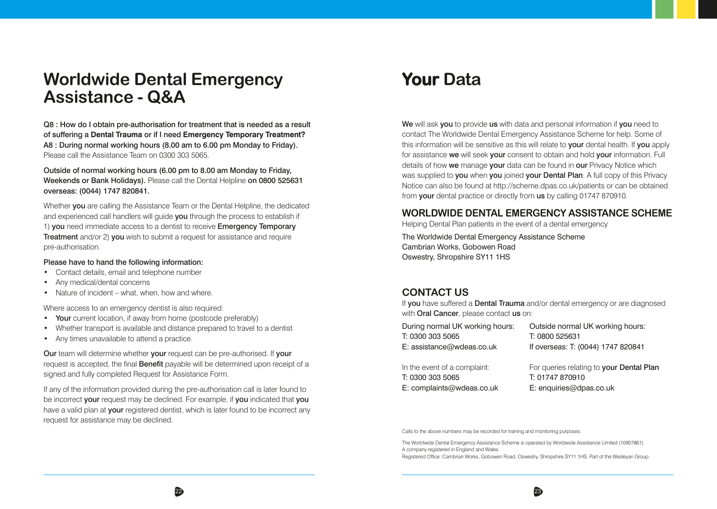# **Worldwide Dental Emergency Assistance - Q&A**

Q8 : How do I obtain pre-authorisation for treatment that is needed as a result of suffering a **Dental Trauma** or if I need **Emergency Temporary Treatment?** A8 : During normal working hours (8.00 am to 6.00 pm Monday to Friday). Please call the Assistance Team on 0300 303 5065.

Outside of normal working hours (6.00 pm to 8.00 am Monday to Friday, Weekends or Bank Holidays). Please call the Dental Helpline on 0800 525631 overseas: (0044) 1747 820841.

Whether you are calling the Assistance Team or the Dental Helpline, the dedicated and experienced call handlers will quide you through the process to establish if 1) you need immediate access to a dentist to receive Emergency Temporary **Treatment** and/or 2) you wish to submit a request for assistance and require pre-authorisation.

#### Please have to hand the following information:

- Contact details, email and telephone number
- Any medical/dental concerns
- Nature of incident what, when, how and where.

Where access to an emergency dentist is also required:

- Your current location, if away from home (postcode preferably)
- Whether transport is available and distance prepared to travel to a dentist
- Any times unavailable to attend a practice.

Our team will determine whether your request can be pre-authorised. If your request is accepted, the final **Benefit** payable will be determined upon receipt of a signed and fully completed Request for Assistance Form.

If any of the information provided during the pre-authorisation call is later found to be incorrect your request may be declined. For example, if you indicated that you have a valid plan at your registered dentist, which is later found to be incorrect any request for assistance may be declined.

# **Your Data**

We will ask you to provide us with data and personal information if you need to contact The Worldwide Dental Emergency Assistance Scheme for help. Some of this information will be sensitive as this will relate to **your** dental health. If you apply for assistance we will seek your consent to obtain and hold your information. Full details of how we manage your data can be found in our Privacy Notice which was supplied to you when you joined your Dental Plan. A full copy of this Privacy Notice can also be found at http://scheme.dpas.co.uk/patients or can be obtained from your dental practice or directly from us by calling 01747 870910.

### **WORLDWIDE DENTAL EMERGENCY ASSISTANCE SCHEME**

Helping Dental Plan patients in the event of a dental emergency

The Worldwide Dental Emergency Assistance Scheme Cambrian Works, Gobowen Road Oswestry, Shropshire SY11 1HS

### **CONTACT US**

If you have suffered a **Dental Trauma** and/or dental emergency or are diagnosed with **Oral Cancer**, please contact us on:

| During normal UK working hours: | Outside normal UK working hours:         |
|---------------------------------|------------------------------------------|
| T: 0300 303 5065                | T: 0800 525631                           |
| E: assistance@wdeas.co.uk       | If overseas: T: (0044) 1747 820841       |
| In the event of a complaint:    | For queries relating to your Dental Plan |
| T: 0300 303 5065                | T: 01747 870910                          |
| E: complaints@wdeas.co.uk       | E: enquiries@dpas.co.uk                  |
|                                 |                                          |

Calls to the above numbers may be recorded for training and monitoring purposes.

The Worldwide Dental Emergency Assistance Scheme is operated by Worldwide Assistance Limited (10907861). A company registered in England and Wales.

Registered Office: Cambrian Works, Gobowen Road, Oswestry, Shropshire SY11 1HS. Part of the Wesleyan Group.